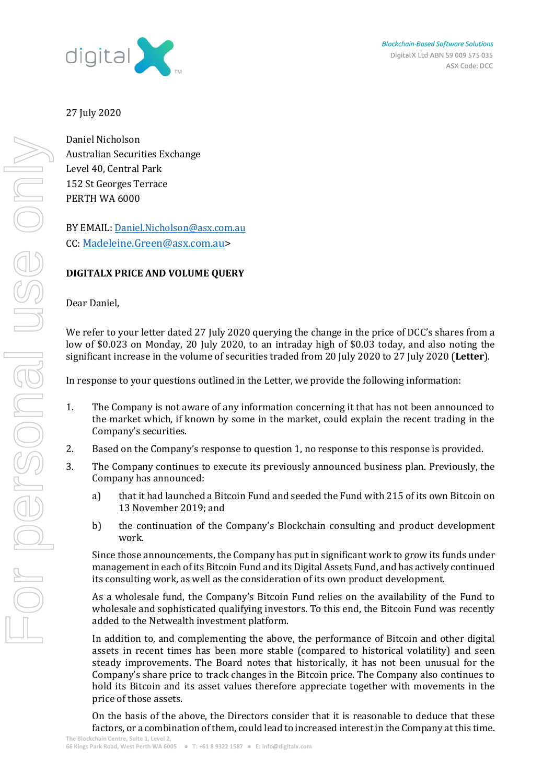

## 27 July 2020

Daniel Nicholson Australian Securities Exchange Level 40, Central Park 152 St Georges Terrace PERTH WA 6000

BY EMAIL[: Daniel.Nicholson@asx.com.au](mailto:Daniel.Nicholson@asx.com.au) CC: [Madeleine.Green@asx.com.au>](mailto:Madeleine.Green@asx.com.au)

# **DIGITALX PRICE AND VOLUME QUERY**

Dear Daniel,

We refer to your letter dated 27 July 2020 querying the change in the price of DCC's shares from a low of \$0.023 on Monday, 20 July 2020, to an intraday high of \$0.03 today, and also noting the significant increase in the volume of securities traded from 20 July 2020 to 27 July 2020 (**Letter**).

In response to your questions outlined in the Letter, we provide the following information:

- 1. The Company is not aware of any information concerning it that has not been announced to the market which, if known by some in the market, could explain the recent trading in the Company's securities.
- 2. Based on the Company's response to question 1, no response to this response is provided.
- 3. The Company continues to execute its previously announced business plan. Previously, the Company has announced:
	- a) that it had launched a Bitcoin Fund and seeded the Fund with 215 of its own Bitcoin on 13 November 2019; and
	- b) the continuation of the Company's Blockchain consulting and product development work.

Since those announcements, the Company has put in significant work to grow its funds under management in each of its Bitcoin Fund and its Digital Assets Fund, and has actively continued its consulting work, as well as the consideration of its own product development.

As a wholesale fund, the Company's Bitcoin Fund relies on the availability of the Fund to wholesale and sophisticated qualifying investors. To this end, the Bitcoin Fund was recently added to the Netwealth investment platform.

In addition to, and complementing the above, the performance of Bitcoin and other digital assets in recent times has been more stable (compared to historical volatility) and seen steady improvements. The Board notes that historically, it has not been unusual for the Company's share price to track changes in the Bitcoin price. The Company also continues to hold its Bitcoin and its asset values therefore appreciate together with movements in the price of those assets.

On the basis of the above, the Directors consider that it is reasonable to deduce that these factors, or a combination of them, could lead to increased interest in the Company at this time.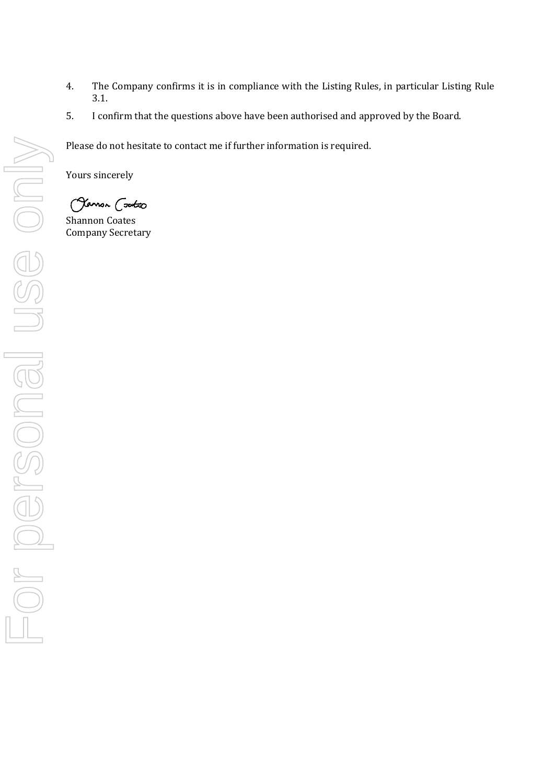- 4. The Company confirms it is in compliance with the Listing Rules, in particular Listing Rule 3.1.
- 5. I confirm that the questions above have been authorised and approved by the Board.

Please do not hesitate to contact me if further information is required.

Yours sincerely

(Jamon Cootes

Shannon Coates Company Secretary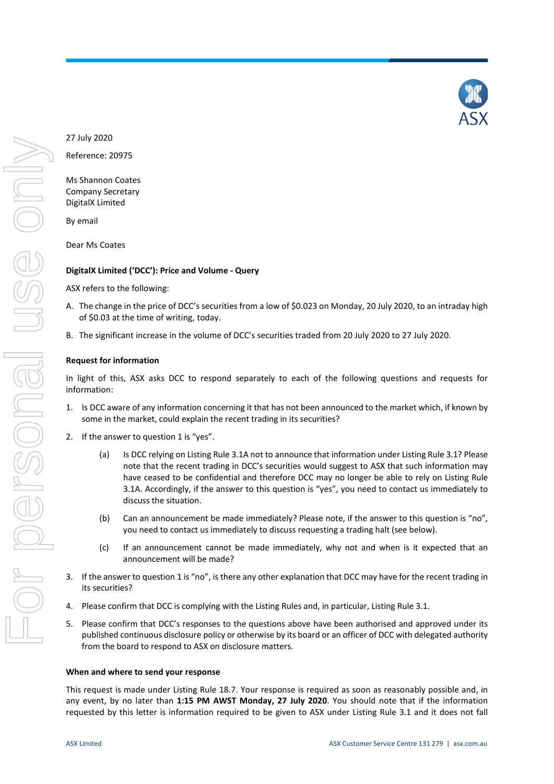

Reference: 20975

Ms Shannon Coates Company Secretary DigitalX Limited

By email

Dear Ms Coates

## **DigitalX Limited ('DCC'): Price and Volume - Query**

ASX refers to the following:

- A. The change in the price of DCC's securities from a low of \$0.023 on Monday, 20 July 2020, to an intraday high of \$0.03 at the time of writing, today.
- B. The significant increase in the volume of DCC's securities traded from 20 July 2020 to 27 July 2020.

## **Request for information**

In light of this, ASX asks DCC to respond separately to each of the following questions and requests for information:

- 1. Is DCC aware of any information concerning it that has not been announced to the market which, if known by some in the market, could explain the recent trading in its securities?
- 2. If the answer to question 1 is "yes".
	- (a) Is DCC relying on Listing Rule 3.1A not to announce that information under Listing Rule 3.1? Please note that the recent trading in DCC's securities would suggest to ASX that such information may have ceased to be confidential and therefore DCC may no longer be able to rely on Listing Rule 3.1A. Accordingly, if the answer to this question is "yes", you need to contact us immediately to discuss the situation.
	- (b) Can an announcement be made immediately? Please note, if the answer to this question is "no", you need to contact us immediately to discuss requesting a trading halt (see below).
	- (c) If an announcement cannot be made immediately, why not and when is it expected that an announcement will be made?
- 3. If the answer to question 1 is "no", is there any other explanation that DCC may have for the recent trading in its securities?
- 4. Please confirm that DCC is complying with the Listing Rules and, in particular, Listing Rule 3.1.
- 5. Please confirm that DCC's responses to the questions above have been authorised and approved under its published continuous disclosure policy or otherwise by its board or an officer of DCC with delegated authority from the board to respond to ASX on disclosure matters.

#### **When and where to send your response**

This request is made under Listing Rule 18.7. Your response is required as soon as reasonably possible and, in any event, by no later than **1:15 PM AWST Monday, 27 July 2020**. You should note that if the information requested by this letter is information required to be given to ASX under Listing Rule 3.1 and it does not fall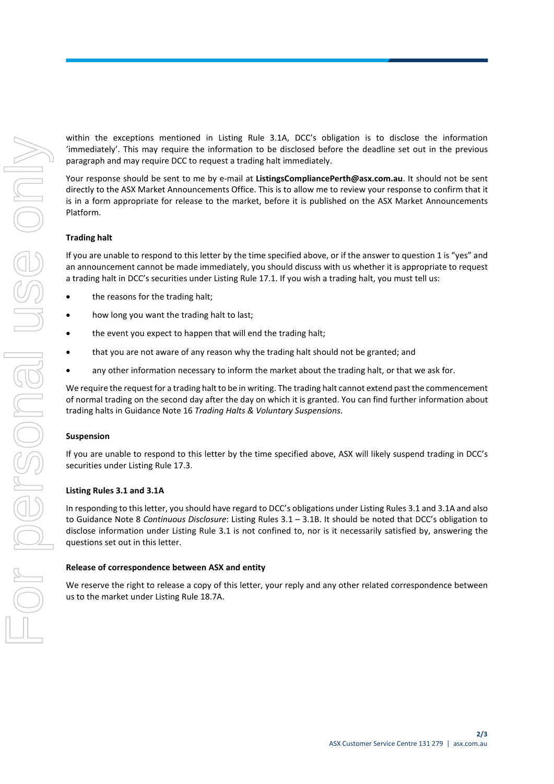within the exceptions mentioned in Listing Rule 3.1A, DCC's obligation is to disclose the information 'immediately'. This may require the information to be disclosed before the deadline set out in the previous paragraph and may require DCC to request a trading halt immediately.

Your response should be sent to me by e-mail at **ListingsCompliancePerth@asx.com.au**. It should not be sent directly to the ASX Market Announcements Office. This is to allow me to review your response to confirm that it is in a form appropriate for release to the market, before it is published on the ASX Market Announcements Platform.

#### **Trading halt**

If you are unable to respond to this letter by the time specified above, or if the answer to question 1 is "yes" and an announcement cannot be made immediately, you should discuss with us whether it is appropriate to request a trading halt in DCC's securities under Listing Rule 17.1. If you wish a trading halt, you must tell us:

- the reasons for the trading halt;
- how long you want the trading halt to last;
- the event you expect to happen that will end the trading halt;
- that you are not aware of any reason why the trading halt should not be granted; and
- any other information necessary to inform the market about the trading halt, or that we ask for.

We require the request for a trading halt to be in writing. The trading halt cannot extend past the commencement of normal trading on the second day after the day on which it is granted. You can find further information about trading halts in Guidance Note 16 *Trading Halts & Voluntary Suspensions*.

#### **Suspension**

If you are unable to respond to this letter by the time specified above, ASX will likely suspend trading in DCC's securities under Listing Rule 17.3.

#### **Listing Rules 3.1 and 3.1A**

In responding to this letter, you should have regard to DCC's obligations under Listing Rules 3.1 and 3.1A and also to Guidance Note 8 *Continuous Disclosure*: Listing Rules 3.1 – 3.1B. It should be noted that DCC's obligation to disclose information under Listing Rule 3.1 is not confined to, nor is it necessarily satisfied by, answering the questions set out in this letter.

#### **Release of correspondence between ASX and entity**

We reserve the right to release a copy of this letter, your reply and any other related correspondence between us to the market under Listing Rule 18.7A.